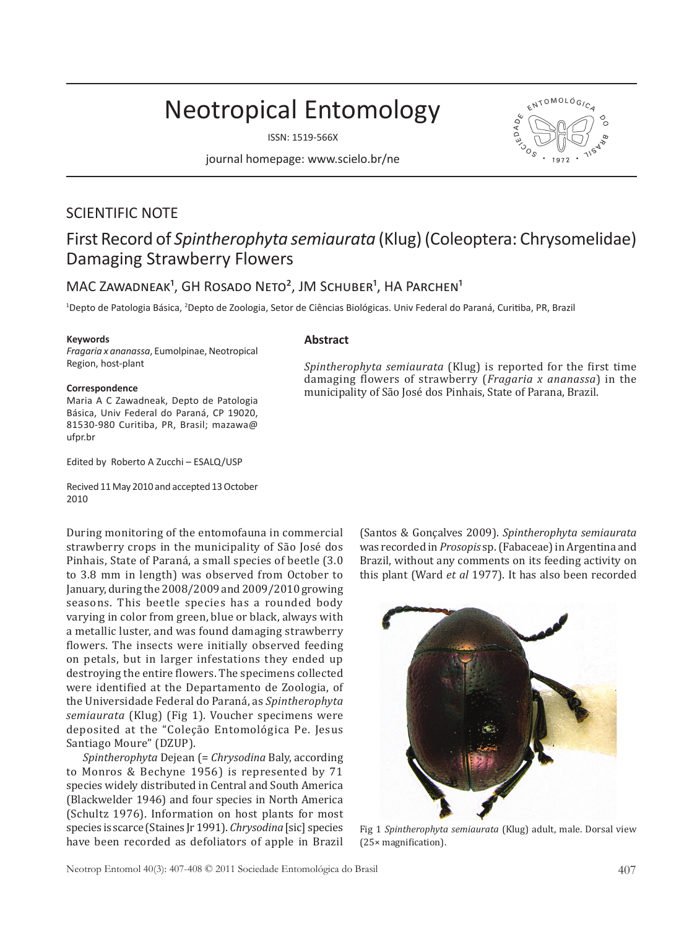# Neotropical Entomology

ISSN: 1519-566X

journal homepage: www.scielo.br/ne



# SCIENTIFIC NOTE First Record of *Spintherophyta semiaurata* (Klug) (Coleoptera: Chrysomelidae) Damaging Strawberry Flowers

## MAC ZAWADNEAK<sup>1</sup>, GH ROSADO NETO<sup>2</sup>, JM SCHUBER<sup>1</sup>, HA PARCHEN<sup>1</sup>

<sup>1</sup>Depto de Patologia Básica, <sup>2</sup>Depto de Zoologia, Setor de Ciências Biológicas. Univ Federal do Paraná, Curitiba, PR, Brazil

#### **Keywords**

*Fragaria x ananassa*, Eumolpinae, Neotropical Region, host-plant

#### **Correspondence**

Maria A C Zawadneak, Depto de Patologia Básica, Univ Federal do Paraná, CP 19020, 81530-980 Curitiba, PR, Brasil; mazawa@ ufpr.br

Edited by Roberto A Zucchi – ESALQ/USP

Recived 11 May 2010 and accepted 13 October 2010

### **Abstract**

*Spintherophyta semiaurata* (Klug) is reported for the first time damaging flowers of strawberry (*Fragaria x ananassa*) in the municipality of São José dos Pinhais, State of Parana, Brazil.

During monitoring of the entomofauna in commercial strawberry crops in the municipality of São José dos Pinhais, State of Paraná, a small species of beetle (3.0 to 3.8 mm in length) was observed from October to January, during the 2008/2009 and 2009/2010 growing seasons. This beetle species has a rounded body varying in color from green, blue or black, always with a metallic luster, and was found damaging strawberry flowers. The insects were initially observed feeding on petals, but in larger infestations they ended up destroying the entire flowers. The specimens collected were identified at the Departamento de Zoologia, of the Universidade Federal do Paraná, as *Spintherophyta semiaurata* (Klug) (Fig 1). Voucher specimens were deposited at the "Coleção Entomológica Pe. Jesus Santiago Moure" (DZUP).

*Spintherophyta* Dejean (= *Chrysodina* Baly, according to Monros & Bechyne 1956) is represented by 71 species widely distributed in Central and South America (Blackwelder 1946) and four species in North America (Schultz 1976). Information on host plants for most species is scarce (Staines Jr 1991). *Chrysodina* [sic] species have been recorded as defoliators of apple in Brazil

(Santos & Gonçalves 2009). *Spintherophyta semiaurata* was recorded in *Prosopis* sp. (Fabaceae) in Argentina and Brazil, without any comments on its feeding activity on this plant (Ward *et al* 1977). It has also been recorded



Fig 1 *Spintherophyta semiaurata* (Klug) adult, male. Dorsal view (25× magnification).